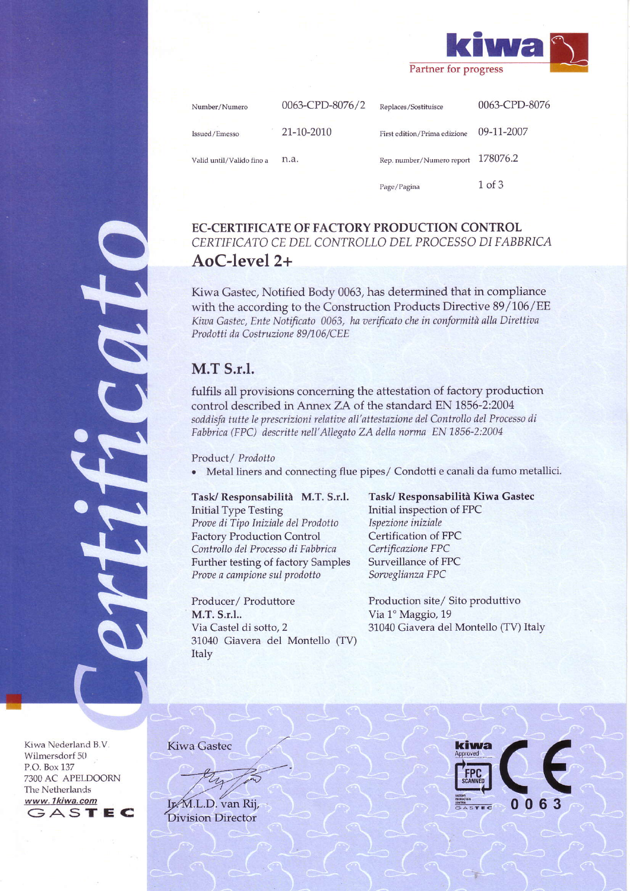

0063-CPD-8076 0063-CPD-8076/2 Number/Numero Replaces/Sostituisce 21-10-2010 09-11-2007 Issued/Emesso First edition/Prima edizione Rep. number/Numero report 178076.2 n.a. Valid until/Valido fino a 1 of 3 Page/Pagina

# **EC-CERTIFICATE OF FACTORY PRODUCTION CONTROL** CERTIFICATO CE DEL CONTROLLO DEL PROCESSO DI FABBRICA AoC-level 2+

Kiwa Gastec, Notified Body 0063, has determined that in compliance with the according to the Construction Products Directive 89/106/EE Kiwa Gastec, Ente Notificato 0063, ha verificato che in conformità alla Direttiva Prodotti da Costruzione 89/106/CEE

# **M.T S.r.l.**

fulfils all provisions concerning the attestation of factory production control described in Annex ZA of the standard EN 1856-2:2004 soddisfa tutte le prescrizioni relative all'attestazione del Controllo del Processo di Fabbrica (FPC) descritte nell'Allegato ZA della norma EN 1856-2:2004

Product/ Prodotto

• Metal liners and connecting flue pipes/ Condotti e canali da fumo metallici.

# Task/Responsabilità M.T. S.r.l. **Initial Type Testing** Prove di Tipo Iniziale del Prodotto

**Factory Production Control** Controllo del Processo di Fabbrica Further testing of factory Samples Prove a campione sul prodotto

Producer/Produttore M.T. S.r.l.. Via Castel di sotto, 2 31040 Giavera del Montello (TV) Italy

Task/ Responsabilità Kiwa Gastec Initial inspection of FPC Ispezione iniziale Certification of FPC Certificazione FPC Surveillance of FPC Sorveglianza FPC

Production site/ Sito produttivo Via 1º Maggio, 19 31040 Giavera del Montello (TV) Italy

Kiwa Nederland B.V. Wilmersdorf 50 P.O. Box 137 7300 AC APELDOORN The Netherlands www.1kiwa.com GASTEC **Kiwa Gastec** 

Ir.M.L.D. van Rij, **Division Director** 

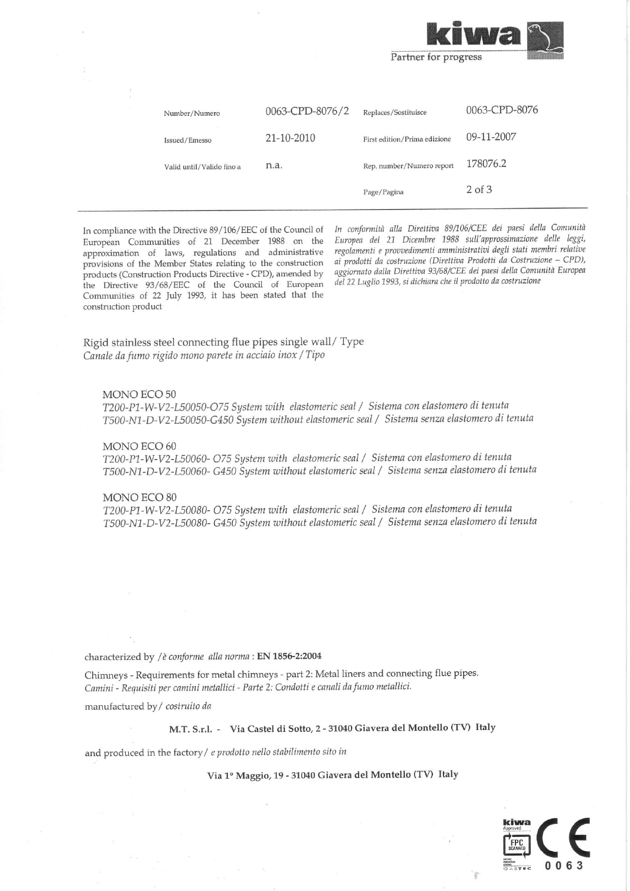

| 0063-CPD-8076<br>0063-CPD-8076/2<br>Replaces/Sostituisce<br>Number/Numero  |  |
|----------------------------------------------------------------------------|--|
| 09-11-2007<br>21-10-2010<br>First edition/Prima edizione<br>Issued/Emesso  |  |
| 178076.2<br>Rep. number/Numero report<br>n.a.<br>Valid until/Valido fino a |  |
| $2$ of $3$<br>Page/Pagina                                                  |  |

In compliance with the Directive 89/106/EEC of the Council of European Communities of 21 December 1988 on the approximation of laws, regulations and administrative provisions of the Member States relating to the construction products (Construction Products Directive - CPD), amended by the Directive 93/68/EEC of the Council of European Communities of 22 July 1993, it has been stated that the construction product

In conformità alla Direttiva 89/106/CEE dei paesi della Comunità Europea del 21 Dicembre 1988 sull'approssimazione delle leggi, regolamenti e provvedimenti amministrativi degli stati membri relative ai prodotti da costruzione (Direttiva Prodotti da Costruzione - CPD), aggiornato dalla Direttiva 93/68/CEE dei paesi della Comunità Europea del 22 Luglio 1993, si dichiara che il prodotto da costruzione

Rigid stainless steel connecting flue pipes single wall/ Type Canale da fumo rigido mono parete in acciaio inox / Tipo

### MONO ECO 50

T200-P1-W-V2-L50050-O75 System with elastomeric seal / Sistema con elastomero di tenuta T500-N1-D-V2-L50050-G450 System without elastomeric seal / Sistema senza elastomero di tenuta

#### MONO ECO 60

T200-P1-W-V2-L50060- O75 System with elastomeric seal / Sistema con elastomero di tenuta T500-N1-D-V2-L50060- G450 System without elastomeric seal / Sistema senza elastomero di tenuta

## MONO ECO 80

T200-P1-W-V2-L50080- O75 System with elastomeric seal / Sistema con elastomero di tenuta T500-N1-D-V2-L50080- G450 System without elastomeric seal / Sistema senza elastomero di tenuta

characterized by / è conforme alla norma : EN 1856-2:2004

Chimneys - Requirements for metal chimneys - part 2: Metal liners and connecting flue pipes. Camini - Requisiti per camini metallici - Parte 2: Condotti e canali da fumo metallici.

manufactured by / costruito da

M.T. S.r.l. - Via Castel di Sotto, 2 - 31040 Giavera del Montello (TV) Italy

and produced in the factory / e prodotto nello stabilimento sito in

## Via 1º Maggio, 19 - 31040 Giavera del Montello (TV) Italy